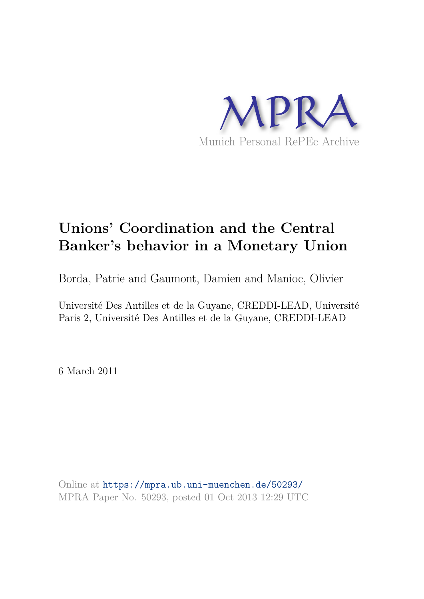

# **Unions' Coordination and the Central Banker's behavior in a Monetary Union**

Borda, Patrie and Gaumont, Damien and Manioc, Olivier

Université Des Antilles et de la Guyane, CREDDI-LEAD, Université Paris 2, Université Des Antilles et de la Guyane, CREDDI-LEAD

6 March 2011

Online at https://mpra.ub.uni-muenchen.de/50293/ MPRA Paper No. 50293, posted 01 Oct 2013 12:29 UTC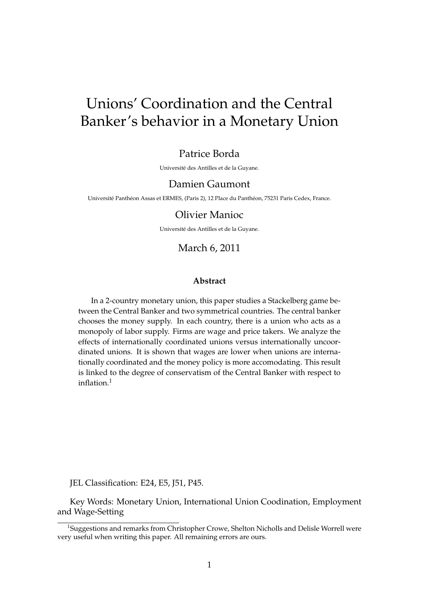# Unions' Coordination and the Central Banker's behavior in a Monetary Union

### Patrice Borda

Universite des Antilles et de la Guyane. ´

### Damien Gaumont

Université Panthéon Assas et ERMES, (Paris 2), 12 Place du Panthéon, 75231 Paris Cedex, France.

### Olivier Manioc

Universite des Antilles et de la Guyane. ´

### March 6, 2011

#### **Abstract**

In a 2-country monetary union, this paper studies a Stackelberg game between the Central Banker and two symmetrical countries. The central banker chooses the money supply. In each country, there is a union who acts as a monopoly of labor supply. Firms are wage and price takers. We analyze the effects of internationally coordinated unions versus internationally uncoordinated unions. It is shown that wages are lower when unions are internationally coordinated and the money policy is more accomodating. This result is linked to the degree of conservatism of the Central Banker with respect to inflation.<sup>1</sup>

JEL Classification: E24, E5, J51, P45.

Key Words: Monetary Union, International Union Coodination, Employment and Wage-Setting

<sup>&</sup>lt;sup>1</sup>Suggestions and remarks from Christopher Crowe, Shelton Nicholls and Delisle Worrell were very useful when writing this paper. All remaining errors are ours.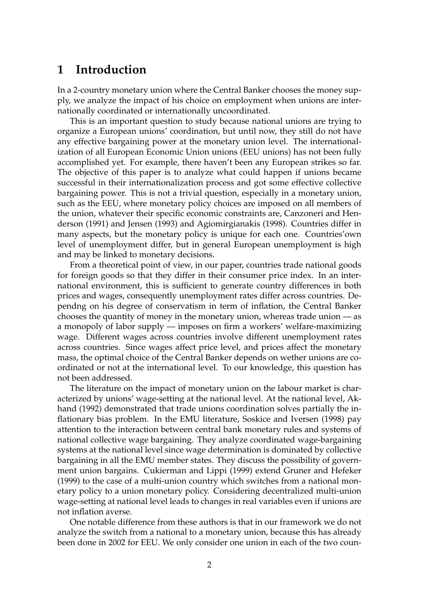# **1 Introduction**

In a 2-country monetary union where the Central Banker chooses the money supply, we analyze the impact of his choice on employment when unions are internationally coordinated or internationally uncoordinated.

This is an important question to study because national unions are trying to organize a European unions' coordination, but until now, they still do not have any effective bargaining power at the monetary union level. The internationalization of all European Economic Union unions (EEU unions) has not been fully accomplished yet. For example, there haven't been any European strikes so far. The objective of this paper is to analyze what could happen if unions became successful in their internationalization process and got some effective collective bargaining power. This is not a trivial question, especially in a monetary union, such as the EEU, where monetary policy choices are imposed on all members of the union, whatever their specific economic constraints are, Canzoneri and Henderson (1991) and Jensen (1993) and Agiomirgianakis (1998). Countries differ in many aspects, but the monetary policy is unique for each one. Countries'own level of unemployment differ, but in general European unemployment is high and may be linked to monetary decisions.

From a theoretical point of view, in our paper, countries trade national goods for foreign goods so that they differ in their consumer price index. In an international environment, this is sufficient to generate country differences in both prices and wages, consequently unemployment rates differ across countries. Dependng on his degree of conservatism in term of inflation, the Central Banker chooses the quantity of money in the monetary union, whereas trade union — as a monopoly of labor supply — imposes on firm a workers' welfare-maximizing wage. Different wages across countries involve different unemployment rates across countries. Since wages affect price level, and prices affect the monetary mass, the optimal choice of the Central Banker depends on wether unions are coordinated or not at the international level. To our knowledge, this question has not been addressed.

The literature on the impact of monetary union on the labour market is characterized by unions' wage-setting at the national level. At the national level, Akhand (1992) demonstrated that trade unions coordination solves partially the inflationary bias problem. In the EMU literature, Soskice and Iversen (1998) pay attention to the interaction between central bank monetary rules and systems of national collective wage bargaining. They analyze coordinated wage-bargaining systems at the national level since wage determination is dominated by collective bargaining in all the EMU member states. They discuss the possibility of government union bargains. Cukierman and Lippi (1999) extend Gruner and Hefeker (1999) to the case of a multi-union country which switches from a national monetary policy to a union monetary policy. Considering decentralized multi-union wage-setting at national level leads to changes in real variables even if unions are not inflation averse.

One notable difference from these authors is that in our framework we do not analyze the switch from a national to a monetary union, because this has already been done in 2002 for EEU. We only consider one union in each of the two coun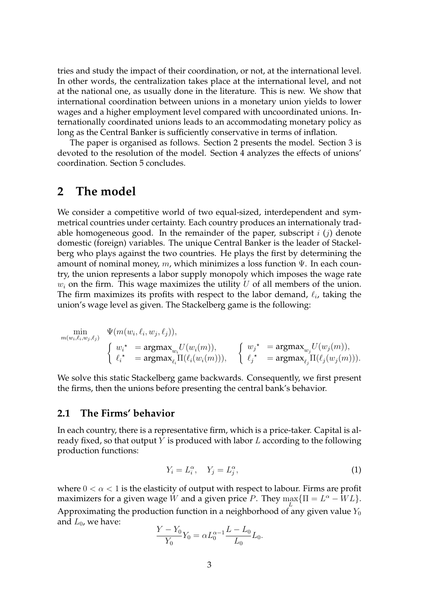tries and study the impact of their coordination, or not, at the international level. In other words, the centralization takes place at the international level, and not at the national one, as usually done in the literature. This is new. We show that international coordination between unions in a monetary union yields to lower wages and a higher employment level compared with uncoordinated unions. Internationally coordinated unions leads to an accommodating monetary policy as long as the Central Banker is sufficiently conservative in terms of inflation.

The paper is organised as follows. Section 2 presents the model. Section 3 is devoted to the resolution of the model. Section 4 analyzes the effects of unions' coordination. Section 5 concludes.

# **2 The model**

We consider a competitive world of two equal-sized, interdependent and symmetrical countries under certainty. Each country produces an internationaly tradable homogeneous good. In the remainder of the paper, subscript  $i(j)$  denote domestic (foreign) variables. The unique Central Banker is the leader of Stackelberg who plays against the two countries. He plays the first by determining the amount of nominal money, m, which minimizes a loss function  $\Psi$ . In each country, the union represents a labor supply monopoly which imposes the wage rate  $w_i$  on the firm. This wage maximizes the utility U of all members of the union. The firm maximizes its profits with respect to the labor demand,  $\ell_i$ , taking the union's wage level as given. The Stackelberg game is the following:

$$
\begin{array}{ll}\displaystyle\min_{m(w_i,\ell_i,w_j,\ell_j)} &\displaystyle\Psi(m(w_i,\ell_i,w_j,\ell_j)),\\ &\displaystyle\left\{\begin{array}{ll}w_i^{\,\star} &\displaystyle=\operatorname{argmax}_{w_i}U(w_i(m)),\\ &\displaystyle\ell_i^{\,\star} &\displaystyle=\operatorname{argmax}_{\ell_i}\Pi(\ell_i(w_i(m))), \end{array}\right. &\left\{\begin{array}{ll}w_j^{\,\star} &\displaystyle=\operatorname{argmax}_{w_j}U(w_j(m)),\\ &\displaystyle\ell_j^{\,\star} &\displaystyle=\operatorname{argmax}_{\ell_j}\Pi(\ell_j(w_j(m))). \end{array}\right. \end{array}
$$

We solve this static Stackelberg game backwards. Consequently, we first present the firms, then the unions before presenting the central bank's behavior.

### **2.1 The Firms' behavior**

In each country, there is a representative firm, which is a price-taker. Capital is already fixed, so that output Y is produced with labor  $L$  according to the following production functions:

$$
Y_i = L_i^{\alpha}, \quad Y_j = L_j^{\alpha}, \tag{1}
$$

where  $0 < \alpha < 1$  is the elasticity of output with respect to labour. Firms are profit maximizers for a given wage  $\hat{W}$  and a given price  $P$ . They  $\max_{L} \{ \Pi = L^{\alpha} - WL \}$ . Approximating the production function in a neighborhood of any given value  $Y_0$ and  $L_0$ , we have:

$$
\frac{Y - Y_0}{Y_0} Y_0 = \alpha L_0^{\alpha - 1} \frac{L - L_0}{L_0} L_0.
$$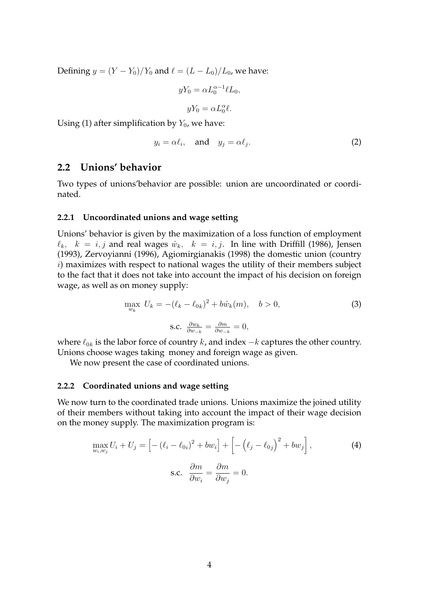Defining  $y = (Y - Y_0)/Y_0$  and  $\ell = (L - L_0)/L_0$ , we have:

$$
yY_0 = \alpha L_0^{\alpha - 1} \ell L_0,
$$
  

$$
yY_0 = \alpha L_0^{\alpha} \ell.
$$

Using (1) after simplification by  $Y_0$ , we have:

$$
y_i = \alpha \ell_i, \quad \text{and} \quad y_j = \alpha \ell_j. \tag{2}
$$

### **2.2 Unions' behavior**

Two types of unions'behavior are possible: union are uncoordinated or coordinated.

#### **2.2.1 Uncoordinated unions and wage setting**

Unions' behavior is given by the maximization of a loss function of employment  $\ell_k$ ,  $k = i, j$  and real wages  $\hat{w}_k$ ,  $k = i, j$ . In line with Driffill (1986), Jensen (1993), Zervoyianni (1996), Agiomirgianakis (1998) the domestic union (country i) maximizes with respect to national wages the utility of their members subject to the fact that it does not take into account the impact of his decision on foreign wage, as well as on money supply:

$$
\max_{w_k} U_k = -(\ell_k - \ell_{0k})^2 + b\hat{w}_k(m), \quad b > 0,
$$
\n
$$
\text{s.c. } \frac{\partial w_k}{\partial w_{-k}} = \frac{\partial m}{\partial w_{-k}} = 0,
$$
\n(3)

where  $\ell_{0k}$  is the labor force of country  $k$ , and index  $-k$  captures the other country. Unions choose wages taking money and foreign wage as given.

We now present the case of coordinated unions.

#### **2.2.2 Coordinated unions and wage setting**

We now turn to the coordinated trade unions. Unions maximize the joined utility of their members without taking into account the impact of their wage decision on the money supply. The maximization program is:

$$
\max_{w_i, w_j} U_i + U_j = \left[ -(\ell_i - \ell_{0i})^2 + bw_i \right] + \left[ -(\ell_j - \ell_{0j})^2 + bw_j \right],
$$
\n
$$
\text{s.c. } \frac{\partial m}{\partial w_i} = \frac{\partial m}{\partial w_j} = 0.
$$
\n(4)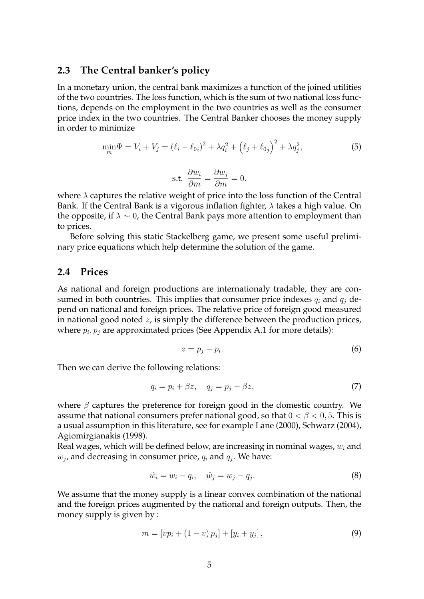### **2.3 The Central banker's policy**

In a monetary union, the central bank maximizes a function of the joined utilities of the two countries. The loss function, which is the sum of two national loss functions, depends on the employment in the two countries as well as the consumer price index in the two countries. The Central Banker chooses the money supply in order to minimize

$$
\min_{m} \Psi = V_i + V_j = (\ell_i - \ell_{0i})^2 + \lambda q_i^2 + (\ell_j + \ell_{0j})^2 + \lambda q_j^2,
$$
\n(5)

$$
\text{s.t. } \frac{\partial w_i}{\partial m} = \frac{\partial w_j}{\partial m} = 0.
$$

where  $\lambda$  captures the relative weight of price into the loss function of the Central Bank. If the Central Bank is a vigorous inflation fighter,  $\lambda$  takes a high value. On the opposite, if  $\lambda \sim 0$ , the Central Bank pays more attention to employment than to prices.

Before solving this static Stackelberg game, we present some useful preliminary price equations which help determine the solution of the game.

### **2.4 Prices**

As national and foreign productions are internationaly tradable, they are consumed in both countries. This implies that consumer price indexes  $q_i$  and  $q_j$  depend on national and foreign prices. The relative price of foreign good measured in national good noted  $z$ , is simply the difference between the production prices, where  $p_i, p_j$  are approximated prices (See Appendix A.1 for more details):

$$
z = p_j - p_i. \tag{6}
$$

Then we can derive the following relations:

$$
q_i = p_i + \beta z, \quad q_j = p_j - \beta z,
$$
\n<sup>(7)</sup>

where  $\beta$  captures the preference for foreign good in the domestic country. We assume that national consumers prefer national good, so that  $0 < \beta < 0.5$ . This is a usual assumption in this literature, see for example Lane (2000), Schwarz (2004), Agiomirgianakis (1998).

Real wages, which will be defined below, are increasing in nominal wages,  $w_i$  and  $w_j$ , and decreasing in consumer price,  $q_i$  and  $q_j$ . We have:

$$
\hat{w}_i = w_i - q_i, \quad \hat{w}_j = w_j - q_j. \tag{8}
$$

We assume that the money supply is a linear convex combination of the national and the foreign prices augmented by the national and foreign outputs. Then, the money supply is given by :

$$
m = [vp_i + (1 - v)p_j] + [y_i + y_j], \tag{9}
$$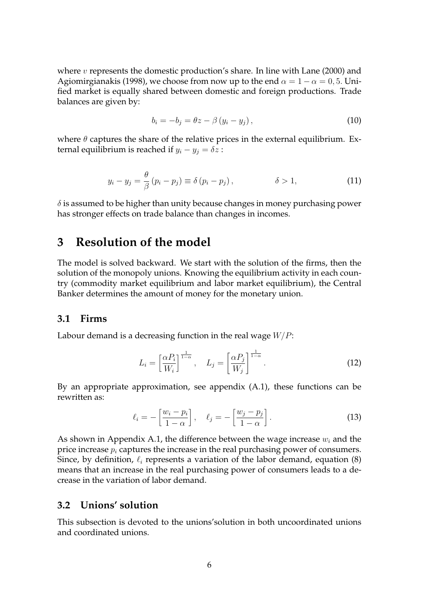where  $v$  represents the domestic production's share. In line with Lane (2000) and Agiomirgianakis (1998), we choose from now up to the end  $\alpha = 1 - \alpha = 0, 5$ . Unified market is equally shared between domestic and foreign productions. Trade balances are given by:

$$
b_i = -b_j = \theta z - \beta (y_i - y_j), \qquad (10)
$$

where  $\theta$  captures the share of the relative prices in the external equilibrium. External equilibrium is reached if  $y_i - y_j = \delta z$ :

$$
y_i - y_j = \frac{\theta}{\beta} (p_i - p_j) \equiv \delta (p_i - p_j), \qquad \qquad \delta > 1,
$$
 (11)

 $\delta$  is assumed to be higher than unity because changes in money purchasing power has stronger effects on trade balance than changes in incomes.

# **3 Resolution of the model**

The model is solved backward. We start with the solution of the firms, then the solution of the monopoly unions. Knowing the equilibrium activity in each country (commodity market equilibrium and labor market equilibrium), the Central Banker determines the amount of money for the monetary union.

#### **3.1 Firms**

Labour demand is a decreasing function in the real wage  $W/P$ :

$$
L_i = \left[\frac{\alpha P_i}{W_i}\right]^{\frac{1}{1-\alpha}}, \quad L_j = \left[\frac{\alpha P_j}{W_j}\right]^{\frac{1}{1-\alpha}}.
$$
 (12)

By an appropriate approximation, see appendix (A.1), these functions can be rewritten as:

$$
\ell_i = -\left[\frac{w_i - p_i}{1 - \alpha}\right], \quad \ell_j = -\left[\frac{w_j - p_j}{1 - \alpha}\right].
$$
\n(13)

As shown in Appendix A.1, the difference between the wage increase  $w_i$  and the price increase  $p_i$  captures the increase in the real purchasing power of consumers. Since, by definition,  $\ell_i$  represents a variation of the labor demand, equation (8) means that an increase in the real purchasing power of consumers leads to a decrease in the variation of labor demand.

### **3.2 Unions' solution**

This subsection is devoted to the unions'solution in both uncoordinated unions and coordinated unions.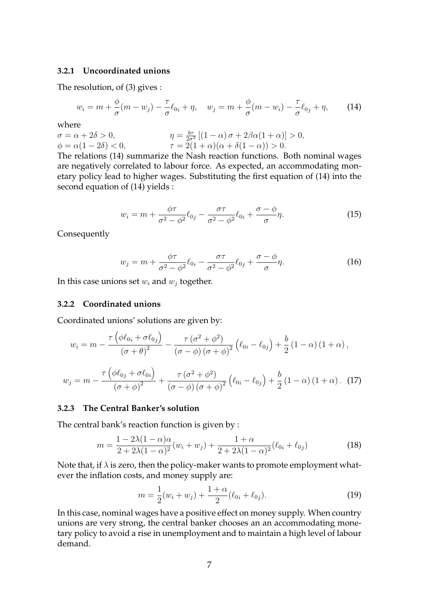#### **3.2.1 Uncoordinated unions**

The resolution, of (3) gives :

$$
w_i = m + \frac{\phi}{\sigma}(m - w_j) - \frac{\tau}{\sigma}\ell_{0i} + \eta, \quad w_j = m + \frac{\phi}{\sigma}(m - w_i) - \frac{\tau}{\sigma}\ell_{0j} + \eta, \tag{14}
$$

where

$$
\begin{aligned}\n\sigma &= \alpha + 2\delta > 0, \\
\phi &= \alpha(1 - 2\delta) < 0, \\
\end{aligned}\n\qquad\n\begin{aligned}\n\eta &= \frac{b\tau}{2\sigma^2} \left[ (1 - \alpha)\,\sigma + 2\beta\alpha(1 + \alpha) \right] > 0, \\
\tau &= 2(1 + \alpha)(\alpha + \delta(1 - \alpha)) > 0.\n\end{aligned}
$$

The relations (14) summarize the Nash reaction functions. Both nominal wages are negatively correlated to labour force. As expected, an accommodating monetary policy lead to higher wages. Substituting the first equation of (14) into the second equation of (14) yields :

$$
w_i = m + \frac{\phi \tau}{\sigma^2 - \phi^2} \ell_{0j} - \frac{\sigma \tau}{\sigma^2 - \phi^2} \ell_{0i} + \frac{\sigma - \phi}{\sigma} \eta.
$$
 (15)

Consequently

$$
w_j = m + \frac{\phi \tau}{\sigma^2 - \phi^2} \ell_{0i} - \frac{\sigma \tau}{\sigma^2 - \phi^2} \ell_{0j} + \frac{\sigma - \phi}{\sigma} \eta.
$$
 (16)

In this case unions set  $w_i$  and  $w_j$  together.

#### **3.2.2 Coordinated unions**

Coordinated unions' solutions are given by:

$$
w_{i} = m - \frac{\tau \left(\phi \ell_{0i} + \sigma \ell_{0j}\right)}{(\sigma + \theta)^{2}} - \frac{\tau \left(\sigma^{2} + \phi^{2}\right)}{(\sigma - \phi) \left(\sigma + \phi\right)^{2}} \left(\ell_{0i} - \ell_{0j}\right) + \frac{b}{2} \left(1 - \alpha\right) \left(1 + \alpha\right),
$$
  

$$
w_{j} = m - \frac{\tau \left(\phi \ell_{0j} + \sigma \ell_{0i}\right)}{(\sigma + \phi)^{2}} + \frac{\tau \left(\sigma^{2} + \phi^{2}\right)}{(\sigma - \phi) \left(\sigma + \phi\right)^{2}} \left(\ell_{0i} - \ell_{0j}\right) + \frac{b}{2} \left(1 - \alpha\right) \left(1 + \alpha\right). \tag{17}
$$

### **3.2.3 The Central Banker's solution**

The central bank's reaction function is given by :

$$
m = \frac{1 - 2\lambda(1 - \alpha)\alpha}{2 + 2\lambda(1 - \alpha)^2}(w_i + w_j) + \frac{1 + \alpha}{2 + 2\lambda(1 - \alpha)^2}(\ell_{0i} + \ell_{0j})
$$
(18)

Note that, if  $\lambda$  is zero, then the policy-maker wants to promote employment whatever the inflation costs, and money supply are:

$$
m = \frac{1}{2}(w_i + w_j) + \frac{1 + \alpha}{2}(\ell_{0i} + \ell_{0j}).
$$
\n(19)

In this case, nominal wages have a positive effect on money supply. When country unions are very strong, the central banker chooses an an accommodating monetary policy to avoid a rise in unemployment and to maintain a high level of labour demand.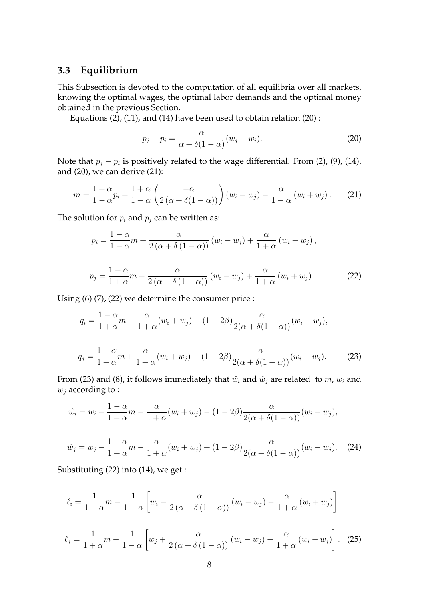### **3.3 Equilibrium**

This Subsection is devoted to the computation of all equilibria over all markets, knowing the optimal wages, the optimal labor demands and the optimal money obtained in the previous Section.

Equations (2), (11), and (14) have been used to obtain relation (20) :

$$
p_j - p_i = \frac{\alpha}{\alpha + \delta(1 - \alpha)} (w_j - w_i).
$$
 (20)

Note that  $p_j - p_i$  is positively related to the wage differential. From (2), (9), (14), and (20), we can derive (21):

$$
m = \frac{1+\alpha}{1-\alpha}p_i + \frac{1+\alpha}{1-\alpha}\left(\frac{-\alpha}{2\left(\alpha + \delta(1-\alpha)\right)}\right)\left(w_i - w_j\right) - \frac{\alpha}{1-\alpha}\left(w_i + w_j\right). \tag{21}
$$

The solution for  $p_i$  and  $p_j$  can be written as:

 $1 + \alpha$ 

$$
p_i = \frac{1 - \alpha}{1 + \alpha} m + \frac{\alpha}{2(\alpha + \delta(1 - \alpha))} (w_i - w_j) + \frac{\alpha}{1 + \alpha} (w_i + w_j),
$$
  

$$
p_j = \frac{1 - \alpha}{1 + \alpha} m - \frac{\alpha}{2(\alpha + \delta(1 - \alpha))} (w_i - w_j) + \frac{\alpha}{1 + \alpha} (w_i + w_j).
$$
 (22)

Using (6) (7), (22) we determine the consumer price :

$$
q_i = \frac{1 - \alpha}{1 + \alpha} m + \frac{\alpha}{1 + \alpha} (w_i + w_j) + (1 - 2\beta) \frac{\alpha}{2(\alpha + \delta(1 - \alpha))} (w_i - w_j),
$$
  

$$
q_j = \frac{1 - \alpha}{1 + \alpha} m + \frac{\alpha}{1 + \alpha} (w_i + w_j) - (1 - 2\beta) \frac{\alpha}{2(\alpha + \delta(1 - \alpha))} (w_i - w_j).
$$
 (23)

From (23) and (8), it follows immediately that  $\hat{w}_i$  and  $\hat{w}_j$  are related to m,  $w_i$  and  $w_j$  according to :

$$
\hat{w}_i = w_i - \frac{1 - \alpha}{1 + \alpha} m - \frac{\alpha}{1 + \alpha} (w_i + w_j) - (1 - 2\beta) \frac{\alpha}{2(\alpha + \delta(1 - \alpha))} (w_i - w_j),
$$
  

$$
\hat{w}_j = w_j - \frac{1 - \alpha}{1 + \alpha} m - \frac{\alpha}{1 + \alpha} (w_i + w_j) + (1 - 2\beta) \frac{\alpha}{2(\alpha + \delta(1 - \alpha))} (w_i - w_j). \tag{24}
$$

Substituting (22) into (14), we get :

$$
\ell_i = \frac{1}{1+\alpha}m - \frac{1}{1-\alpha}\left[w_i - \frac{\alpha}{2(\alpha+\delta(1-\alpha))}(w_i - w_j) - \frac{\alpha}{1+\alpha}(w_i + w_j)\right],
$$
  

$$
\ell_j = \frac{1}{1+\alpha}m - \frac{1}{1-\alpha}\left[w_j + \frac{\alpha}{2(\alpha+\delta(1-\alpha))}(w_i - w_j) - \frac{\alpha}{1+\alpha}(w_i + w_j)\right].
$$
 (25)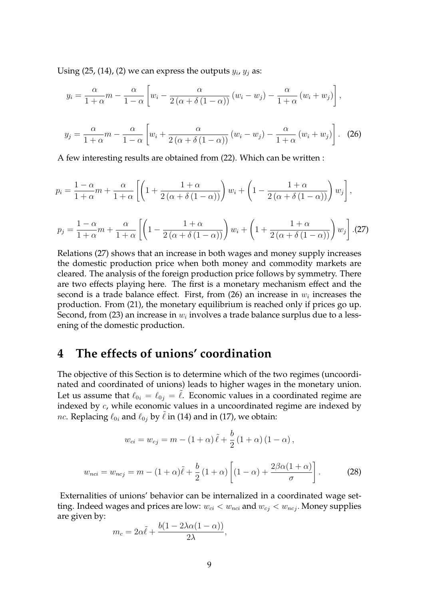Using  $(25, (14), (2)$  we can express the outputs  $y_i$ ,  $y_j$  as:

$$
y_i = \frac{\alpha}{1+\alpha}m - \frac{\alpha}{1-\alpha}\left[w_i - \frac{\alpha}{2(\alpha+\delta(1-\alpha))}(w_i - w_j) - \frac{\alpha}{1+\alpha}(w_i + w_j)\right],
$$

$$
y_j = \frac{\alpha}{1+\alpha}m - \frac{\alpha}{1-\alpha}\left[w_i + \frac{\alpha}{2(\alpha+\delta(1-\alpha))}(w_i - w_j) - \frac{\alpha}{1+\alpha}(w_i + w_j)\right].
$$
 (26)

A few interesting results are obtained from (22). Which can be written :

$$
p_i = \frac{1-\alpha}{1+\alpha}m + \frac{\alpha}{1+\alpha}\left[\left(1 + \frac{1+\alpha}{2(\alpha+\delta(1-\alpha))}\right)w_i + \left(1 - \frac{1+\alpha}{2(\alpha+\delta(1-\alpha))}\right)w_j\right],
$$

$$
p_j = \frac{1-\alpha}{1+\alpha}m + \frac{\alpha}{1+\alpha}\left[\left(1 - \frac{1+\alpha}{2\left(\alpha + \delta\left(1-\alpha\right)\right)}\right)w_i + \left(1 + \frac{1+\alpha}{2\left(\alpha + \delta\left(1-\alpha\right)\right)}\right)w_j\right].(27)
$$

Relations (27) shows that an increase in both wages and money supply increases the domestic production price when both money and commodity markets are cleared. The analysis of the foreign production price follows by symmetry. There are two effects playing here. The first is a monetary mechanism effect and the second is a trade balance effect. First, from (26) an increase in  $w_i$  increases the production. From (21), the monetary equilibrium is reached only if prices go up. Second, from (23) an increase in  $w_i$  involves a trade balance surplus due to a lessening of the domestic production.

# **4 The effects of unions' coordination**

The objective of this Section is to determine which of the two regimes (uncoordinated and coordinated of unions) leads to higher wages in the monetary union. Let us assume that  $\ell_{0i} = \ell_{0j} = \ell$ . Economic values in a coordinated regime are indexed by c, while economic values in a uncoordinated regime are indexed by *nc*. Replacing  $\ell_{0i}$  and  $\ell_{0j}$  by  $\tilde{\ell}$  in (14) and in (17), we obtain:

$$
w_{ci} = w_{cj} = m - (1 + \alpha)\tilde{\ell} + \frac{b}{2}(1 + \alpha)(1 - \alpha),
$$
  

$$
w_{nci} = w_{ncj} = m - (1 + \alpha)\tilde{\ell} + \frac{b}{2}(1 + \alpha)\left[(1 - \alpha) + \frac{2\beta\alpha(1 + \alpha)}{\sigma}\right].
$$
 (28)

Externalities of unions' behavior can be internalized in a coordinated wage setting. Indeed wages and prices are low:  $w_{ci} < w_{nci}$  and  $w_{cj} < w_{ncj}$ . Money supplies are given by:

$$
m_c = 2\alpha \tilde{\ell} + \frac{b(1 - 2\lambda \alpha (1 - \alpha))}{2\lambda},
$$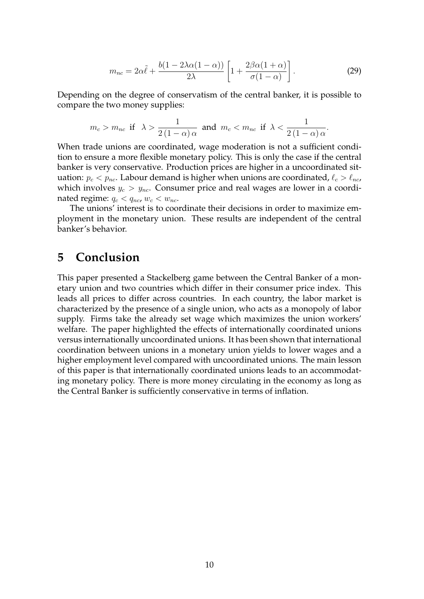$$
m_{nc} = 2\alpha \tilde{\ell} + \frac{b(1 - 2\lambda\alpha(1 - \alpha))}{2\lambda} \left[ 1 + \frac{2\beta\alpha(1 + \alpha)}{\sigma(1 - \alpha)} \right].
$$
 (29)

Depending on the degree of conservatism of the central banker, it is possible to compare the two money supplies:

$$
m_c > m_{nc} \text{ if } \lambda > \frac{1}{2(1-\alpha)\,\alpha} \text{ and } m_c < m_{nc} \text{ if } \lambda < \frac{1}{2(1-\alpha)\,\alpha}.
$$

When trade unions are coordinated, wage moderation is not a sufficient condition to ensure a more flexible monetary policy. This is only the case if the central banker is very conservative. Production prices are higher in a uncoordinated situation:  $p_c < p_{nc}$ . Labour demand is higher when unions are coordinated,  $\ell_c > \ell_{nc}$ , which involves  $y_c > y_{nc}$ . Consumer price and real wages are lower in a coordinated regime:  $q_c < q_{nc}$ ,  $w_c < w_{nc}$ .

The unions' interest is to coordinate their decisions in order to maximize employment in the monetary union. These results are independent of the central banker's behavior.

# **5 Conclusion**

This paper presented a Stackelberg game between the Central Banker of a monetary union and two countries which differ in their consumer price index. This leads all prices to differ across countries. In each country, the labor market is characterized by the presence of a single union, who acts as a monopoly of labor supply. Firms take the already set wage which maximizes the union workers' welfare. The paper highlighted the effects of internationally coordinated unions versus internationally uncoordinated unions. It has been shown that international coordination between unions in a monetary union yields to lower wages and a higher employment level compared with uncoordinated unions. The main lesson of this paper is that internationally coordinated unions leads to an accommodating monetary policy. There is more money circulating in the economy as long as the Central Banker is sufficiently conservative in terms of inflation.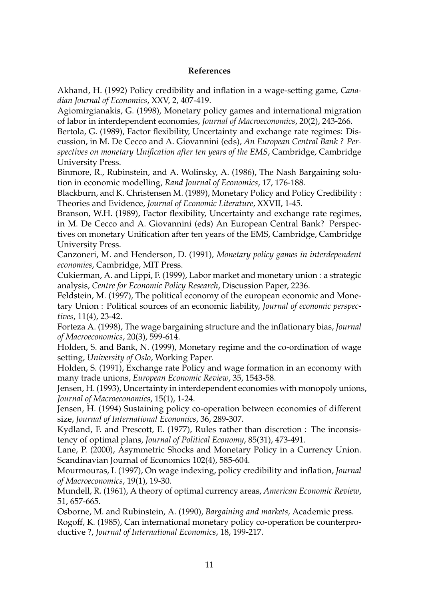### **References**

Akhand, H. (1992) Policy credibility and inflation in a wage-setting game, *Canadian Journal of Economics*, XXV, 2, 407-419.

Agiomirgianakis, G. (1998), Monetary policy games and international migration of labor in interdependent economies, *Journal of Macroeconomics*, 20(2), 243-266.

Bertola, G. (1989), Factor flexibility, Uncertainty and exchange rate regimes: Discussion, in M. De Cecco and A. Giovannini (eds), *An European Central Bank ? Perspectives on monetary Unification after ten years of the EMS*, Cambridge, Cambridge University Press.

Binmore, R., Rubinstein, and A. Wolinsky, A. (1986), The Nash Bargaining solution in economic modelling, *Rand Journal of Economics*, 17, 176-188.

Blackburn, and K. Christensen M. (1989), Monetary Policy and Policy Credibility : Theories and Evidence, *Journal of Economic Literature*, XXVII, 1-45.

Branson, W.H. (1989), Factor flexibility, Uncertainty and exchange rate regimes, in M. De Cecco and A. Giovannini (eds) An European Central Bank? Perspectives on monetary Unification after ten years of the EMS, Cambridge, Cambridge University Press.

Canzoneri, M. and Henderson, D. (1991), *Monetary policy games in interdependent economies*, Cambridge, MIT Press.

Cukierman, A. and Lippi, F. (1999), Labor market and monetary union : a strategic analysis, *Centre for Economic Policy Research*, Discussion Paper, 2236.

Feldstein, M. (1997), The political economy of the european economic and Monetary Union : Political sources of an economic liability, *Journal of economic perspectives*, 11(4), 23-42.

Forteza A. (1998), The wage bargaining structure and the inflationary bias, *Journal of Macroeconomics*, 20(3), 599-614.

Holden, S. and Bank, N. (1999), Monetary regime and the co-ordination of wage setting, *University of Oslo*, Working Paper.

Holden, S. (1991), Exchange rate Policy and wage formation in an economy with many trade unions, *European Economic Review*, 35, 1543-58.

Jensen, H. (1993), Uncertainty in interdependent economies with monopoly unions, *Journal of Macroeconomics*, 15(1), 1-24.

Jensen, H. (1994) Sustaining policy co-operation between economies of different size, *Journal of International Economics*, 36, 289-307.

Kydland, F. and Prescott, E. (1977), Rules rather than discretion : The inconsistency of optimal plans, *Journal of Political Economy*, 85(31), 473-491.

Lane, P. (2000), Asymmetric Shocks and Monetary Policy in a Currency Union. Scandinavian Journal of Economics 102(4), 585-604.

Mourmouras, I. (1997), On wage indexing, policy credibility and inflation, *Journal of Macroeconomics*, 19(1), 19-30.

Mundell, R. (1961), A theory of optimal currency areas, *American Economic Review*, 51, 657-665.

Osborne, M. and Rubinstein, A. (1990), *Bargaining and markets,* Academic press. Rogoff, K. (1985), Can international monetary policy co-operation be counterproductive ?, *Journal of International Economics*, 18, 199-217.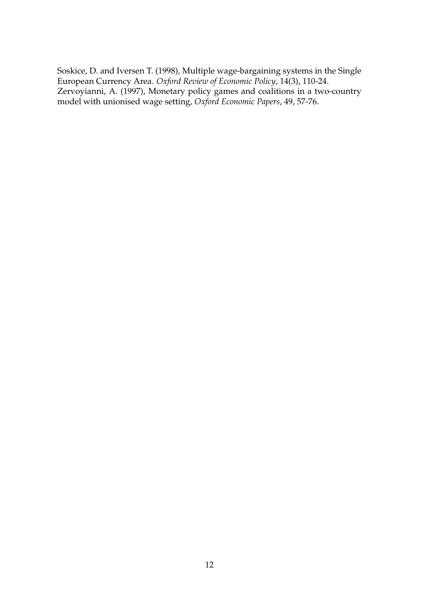Soskice, D. and Iversen T. (1998), Multiple wage-bargaining systems in the Single European Currency Area. *Oxford Review of Economic Policy*, 14(3), 110-24. Zervoyianni, A. (1997), Monetary policy games and coalitions in a two-country model with unionised wage setting, *Oxford Economic Papers*, 49, 57-76.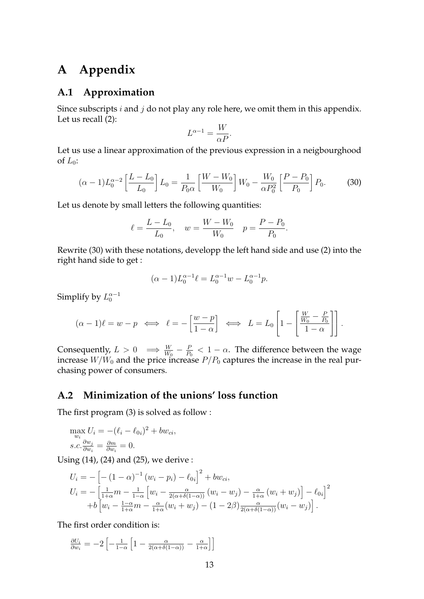# **A Appendix**

### **A.1 Approximation**

Since subscripts  $i$  and  $j$  do not play any role here, we omit them in this appendix. Let us recall (2):

$$
L^{\alpha - 1} = \frac{W}{\alpha P}.
$$

Let us use a linear approximation of the previous expression in a neigbourghood of  $L_0$ :

$$
(\alpha - 1)L_0^{\alpha - 2} \left[ \frac{L - L_0}{L_0} \right] L_0 = \frac{1}{P_0 \alpha} \left[ \frac{W - W_0}{W_0} \right] W_0 - \frac{W_0}{\alpha P_0^2} \left[ \frac{P - P_0}{P_0} \right] P_0.
$$
 (30)

Let us denote by small letters the following quantities:

$$
\ell = \frac{L - L_0}{L_0}, \quad w = \frac{W - W_0}{W_0} \quad p = \frac{P - P_0}{P_0}.
$$

Rewrite (30) with these notations, developp the left hand side and use (2) into the right hand side to get :

$$
(\alpha - 1)L_0^{\alpha - 1}\ell = L_0^{\alpha - 1}w - L_0^{\alpha - 1}p.
$$

Simplify by  $L_0^{\alpha-1}$ 

$$
(\alpha - 1)\ell = w - p \iff \ell = -\left[\frac{w - p}{1 - \alpha}\right] \iff L = L_0 \left[1 - \left[\frac{W}{W_0} - \frac{P}{P_0}\right]\right].
$$

Consequently,  $L > 0 \implies \frac{W}{W_0} - \frac{P}{P_0}$  $\frac{P}{P_0}$  < 1 –  $\alpha$ . The difference between the wage increase  $W/W_0$  and the price increase  $P/P_0$  captures the increase in the real purchasing power of consumers.

## **A.2 Minimization of the unions' loss function**

The first program (3) is solved as follow :

$$
\max_{w_i} U_i = -(\ell_i - \ell_{0i})^2 + bw_{ci},
$$
  
s.c.  $\frac{\partial w_j}{\partial w_i} = \frac{\partial m}{\partial w_i} = 0.$ 

Using (14), (24) and (25), we derive :

$$
U_i = -\left[ -(1 - \alpha)^{-1} (w_i - p_i) - \ell_{0i} \right]^2 + bw_{ci},
$$
  
\n
$$
U_i = -\left[ \frac{1}{1 + \alpha} m - \frac{1}{1 - \alpha} \left[ w_i - \frac{\alpha}{2(\alpha + \delta(1 - \alpha))} (w_i - w_j) - \frac{\alpha}{1 + \alpha} (w_i + w_j) \right] - \ell_{0i} \right]^2
$$
  
\n
$$
+ b \left[ w_i - \frac{1 - \alpha}{1 + \alpha} m - \frac{\alpha}{1 + \alpha} (w_i + w_j) - (1 - 2\beta) \frac{\alpha}{2(\alpha + \delta(1 - \alpha))} (w_i - w_j) \right].
$$

The first order condition is:

 $\partial U_i$  $\frac{\partial U_i}{\partial w_i} = -2 \left[ - \frac{1}{1-\alpha} \left[ 1 - \frac{\alpha}{2(\alpha+\delta(1-\alpha))} - \frac{\alpha}{1+\alpha} \right] \right]$  $\frac{\alpha}{1+\alpha}$ ]